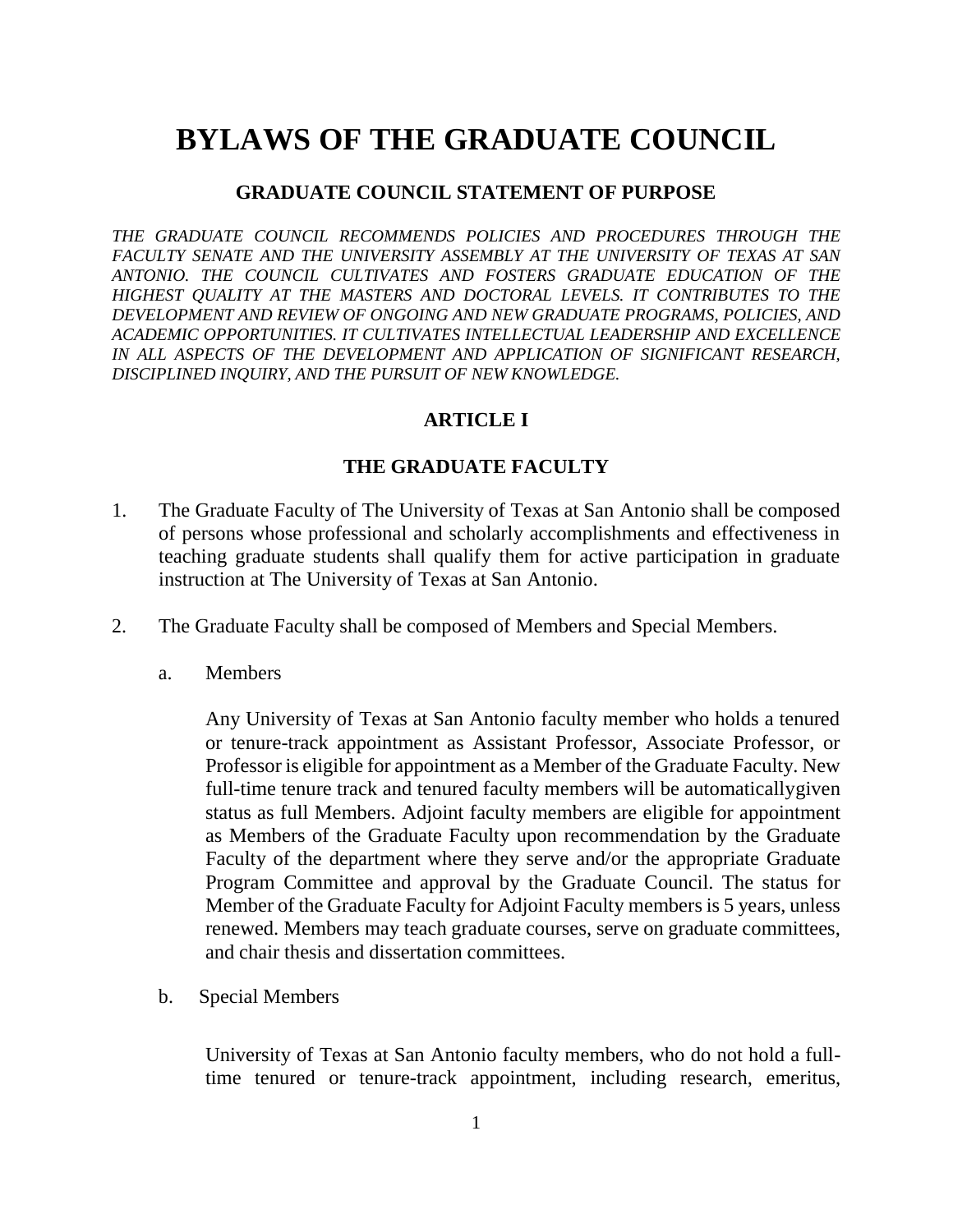# **BYLAWS OF THE GRADUATE COUNCIL**

#### **GRADUATE COUNCIL STATEMENT OF PURPOSE**

*THE GRADUATE COUNCIL RECOMMENDS POLICIES AND PROCEDURES THROUGH THE FACULTY SENATE AND THE UNIVERSITY ASSEMBLY AT THE UNIVERSITY OF TEXAS AT SAN ANTONIO. THE COUNCIL CULTIVATES AND FOSTERS GRADUATE EDUCATION OF THE HIGHEST QUALITY AT THE MASTERS AND DOCTORAL LEVELS. IT CONTRIBUTES TO THE DEVELOPMENT AND REVIEW OF ONGOING AND NEW GRADUATE PROGRAMS, POLICIES, AND ACADEMIC OPPORTUNITIES. IT CULTIVATES INTELLECTUAL LEADERSHIP AND EXCELLENCE IN ALL ASPECTS OF THE DEVELOPMENT AND APPLICATION OF SIGNIFICANT RESEARCH, DISCIPLINED INQUIRY, AND THE PURSUIT OF NEW KNOWLEDGE.*

#### **ARTICLE I**

#### **THE GRADUATE FACULTY**

- 1. The Graduate Faculty of The University of Texas at San Antonio shall be composed of persons whose professional and scholarly accomplishments and effectiveness in teaching graduate students shall qualify them for active participation in graduate instruction at The University of Texas at San Antonio.
- 2. The Graduate Faculty shall be composed of Members and Special Members.
	- a. Members

Any University of Texas at San Antonio faculty member who holds a tenured or tenure-track appointment as Assistant Professor, Associate Professor, or Professor is eligible for appointment as a Member of the Graduate Faculty. New full-time tenure track and tenured faculty members will be automaticallygiven status as full Members. Adjoint faculty members are eligible for appointment as Members of the Graduate Faculty upon recommendation by the Graduate Faculty of the department where they serve and/or the appropriate Graduate Program Committee and approval by the Graduate Council. The status for Member of the Graduate Faculty for Adjoint Faculty members is 5 years, unless renewed. Members may teach graduate courses, serve on graduate committees, and chair thesis and dissertation committees.

b. Special Members

University of Texas at San Antonio faculty members, who do not hold a fulltime tenured or tenure-track appointment, including research, emeritus,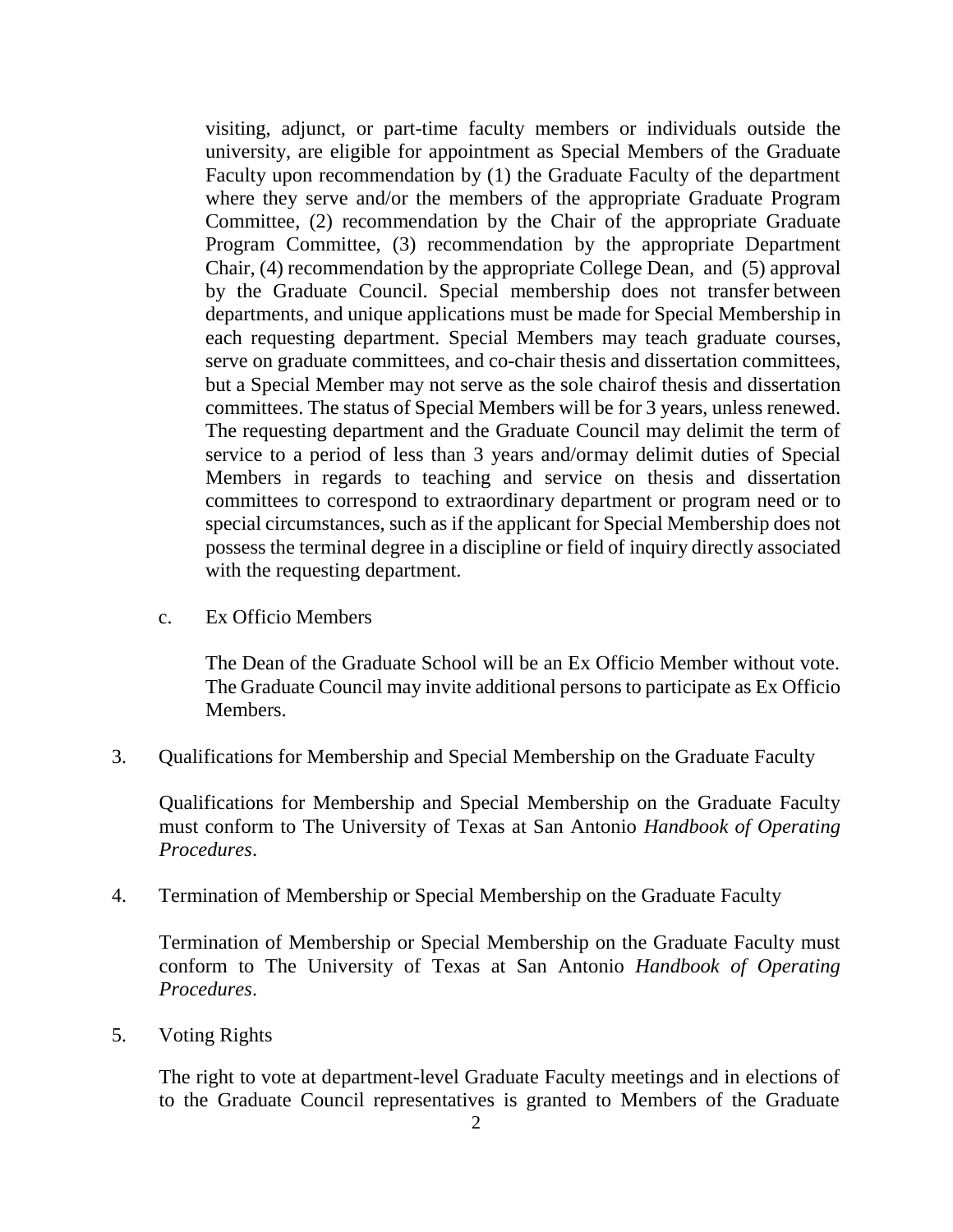visiting, adjunct, or part-time faculty members or individuals outside the university, are eligible for appointment as Special Members of the Graduate Faculty upon recommendation by (1) the Graduate Faculty of the department where they serve and/or the members of the appropriate Graduate Program Committee, (2) recommendation by the Chair of the appropriate Graduate Program Committee, (3) recommendation by the appropriate Department Chair, (4) recommendation by the appropriate College Dean, and (5) approval by the Graduate Council. Special membership does not transfer between departments, and unique applications must be made for Special Membership in each requesting department. Special Members may teach graduate courses, serve on graduate committees, and co-chair thesis and dissertation committees, but a Special Member may not serve as the sole chairof thesis and dissertation committees. The status of Special Members will be for 3 years, unless renewed. The requesting department and the Graduate Council may delimit the term of service to a period of less than 3 years and/ormay delimit duties of Special Members in regards to teaching and service on thesis and dissertation committees to correspond to extraordinary department or program need or to special circumstances, such as if the applicant for Special Membership does not possess the terminal degree in a discipline or field of inquiry directly associated with the requesting department.

c. Ex Officio Members

The Dean of the Graduate School will be an Ex Officio Member without vote. The Graduate Council may invite additional persons to participate as Ex Officio Members.

3. Qualifications for Membership and Special Membership on the Graduate Faculty

Qualifications for Membership and Special Membership on the Graduate Faculty must conform to The University of Texas at San Antonio *Handbook of Operating Procedures*.

4. Termination of Membership or Special Membership on the Graduate Faculty

Termination of Membership or Special Membership on the Graduate Faculty must conform to The University of Texas at San Antonio *Handbook of Operating Procedures*.

5. Voting Rights

The right to vote at department-level Graduate Faculty meetings and in elections of to the Graduate Council representatives is granted to Members of the Graduate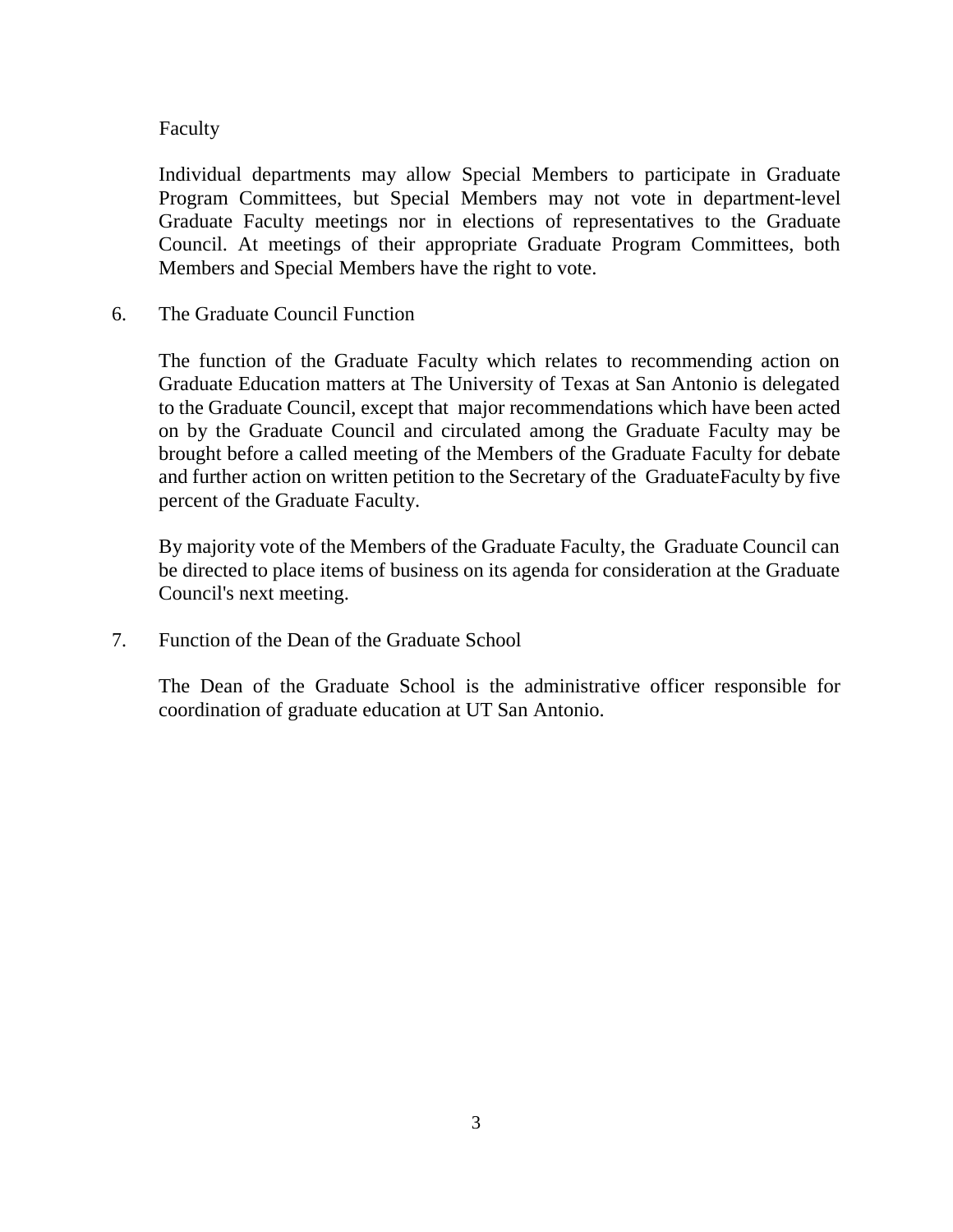#### Faculty

Individual departments may allow Special Members to participate in Graduate Program Committees, but Special Members may not vote in department-level Graduate Faculty meetings nor in elections of representatives to the Graduate Council. At meetings of their appropriate Graduate Program Committees, both Members and Special Members have the right to vote.

6. The Graduate Council Function

The function of the Graduate Faculty which relates to recommending action on Graduate Education matters at The University of Texas at San Antonio is delegated to the Graduate Council, except that major recommendations which have been acted on by the Graduate Council and circulated among the Graduate Faculty may be brought before a called meeting of the Members of the Graduate Faculty for debate and further action on written petition to the Secretary of the GraduateFaculty by five percent of the Graduate Faculty.

By majority vote of the Members of the Graduate Faculty, the Graduate Council can be directed to place items of business on its agenda for consideration at the Graduate Council's next meeting.

7. Function of the Dean of the Graduate School

The Dean of the Graduate School is the administrative officer responsible for coordination of graduate education at UT San Antonio.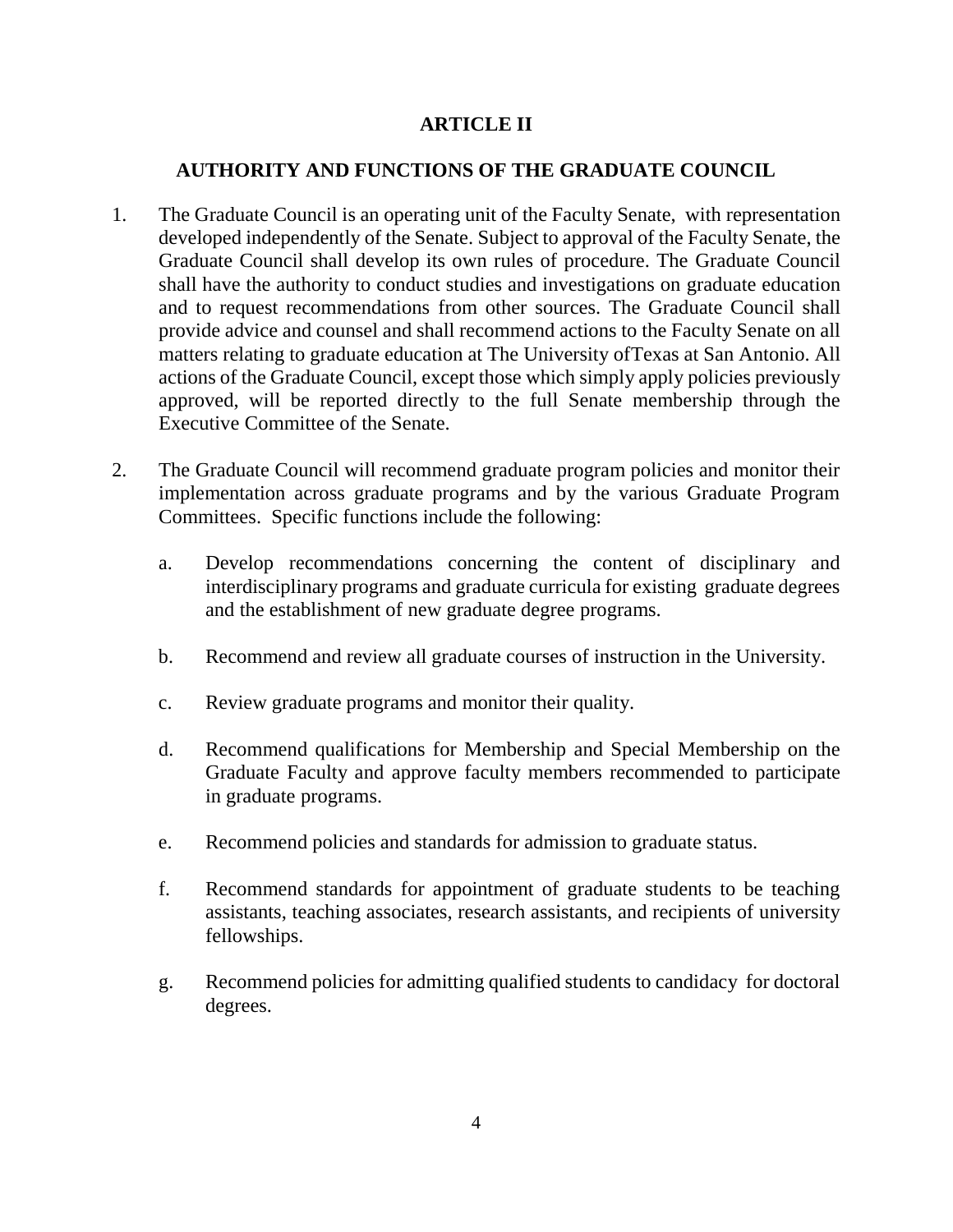# **ARTICLE II**

## **AUTHORITY AND FUNCTIONS OF THE GRADUATE COUNCIL**

- 1. The Graduate Council is an operating unit of the Faculty Senate, with representation developed independently of the Senate. Subject to approval of the Faculty Senate, the Graduate Council shall develop its own rules of procedure. The Graduate Council shall have the authority to conduct studies and investigations on graduate education and to request recommendations from other sources. The Graduate Council shall provide advice and counsel and shall recommend actions to the Faculty Senate on all matters relating to graduate education at The University ofTexas at San Antonio. All actions of the Graduate Council, except those which simply apply policies previously approved, will be reported directly to the full Senate membership through the Executive Committee of the Senate.
- 2. The Graduate Council will recommend graduate program policies and monitor their implementation across graduate programs and by the various Graduate Program Committees. Specific functions include the following:
	- a. Develop recommendations concerning the content of disciplinary and interdisciplinary programs and graduate curricula for existing graduate degrees and the establishment of new graduate degree programs.
	- b. Recommend and review all graduate courses of instruction in the University.
	- c. Review graduate programs and monitor their quality.
	- d. Recommend qualifications for Membership and Special Membership on the Graduate Faculty and approve faculty members recommended to participate in graduate programs.
	- e. Recommend policies and standards for admission to graduate status.
	- f. Recommend standards for appointment of graduate students to be teaching assistants, teaching associates, research assistants, and recipients of university fellowships.
	- g. Recommend policies for admitting qualified students to candidacy for doctoral degrees.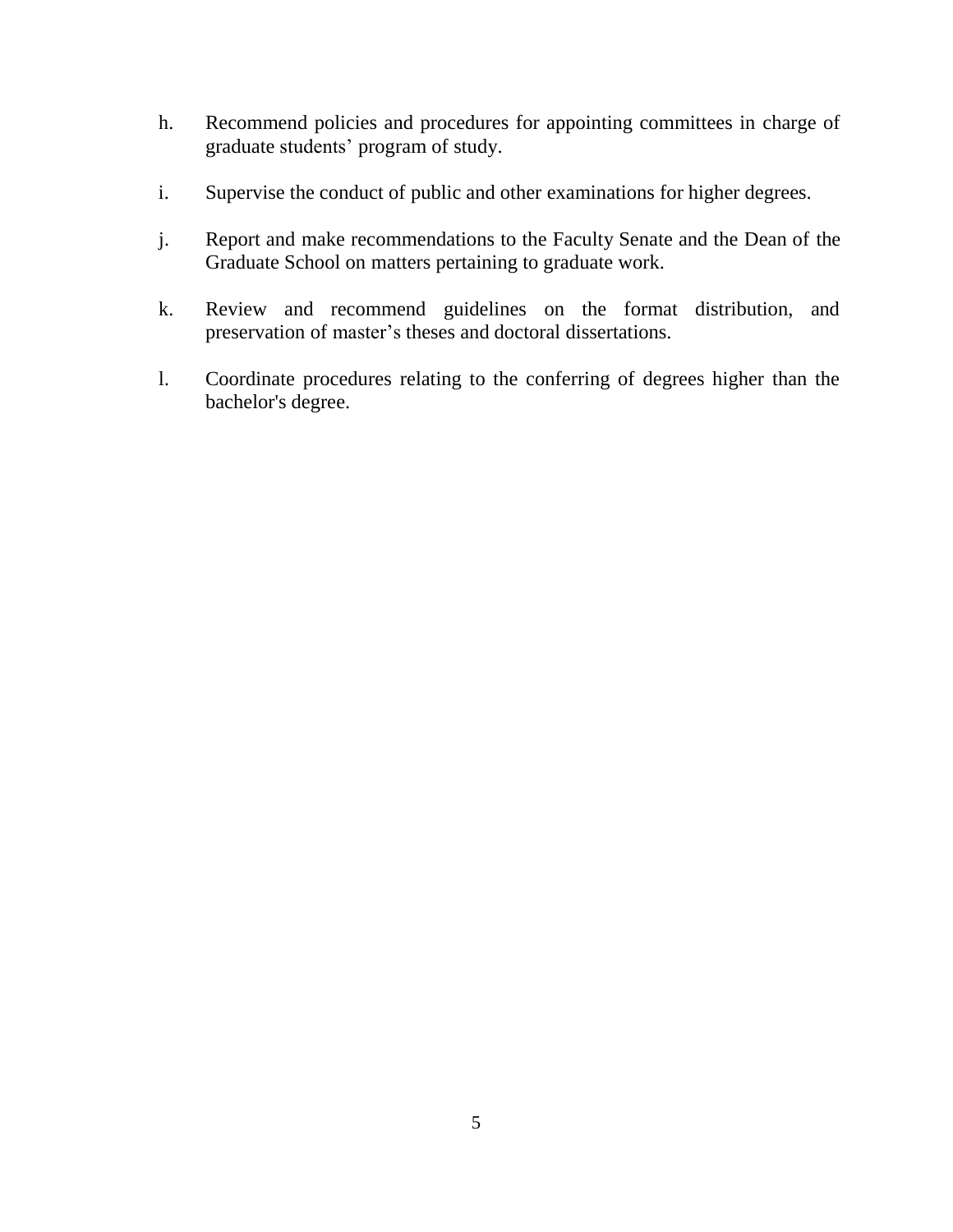- h. Recommend policies and procedures for appointing committees in charge of graduate students' program of study.
- i. Supervise the conduct of public and other examinations for higher degrees.
- j. Report and make recommendations to the Faculty Senate and the Dean of the Graduate School on matters pertaining to graduate work.
- k. Review and recommend guidelines on the format distribution, and preservation of master's theses and doctoral dissertations.
- l. Coordinate procedures relating to the conferring of degrees higher than the bachelor's degree.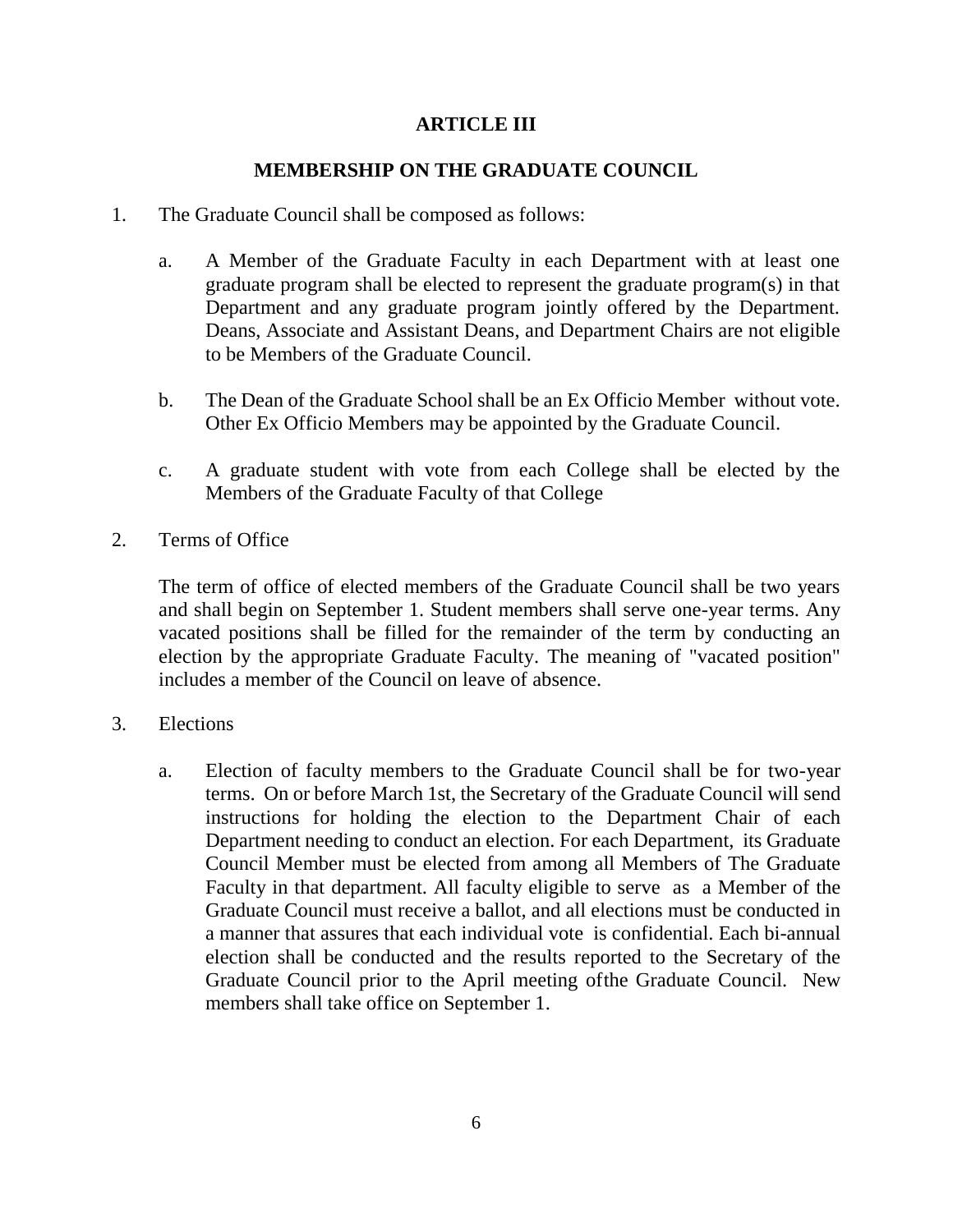## **ARTICLE III**

### **MEMBERSHIP ON THE GRADUATE COUNCIL**

- 1. The Graduate Council shall be composed as follows:
	- a. A Member of the Graduate Faculty in each Department with at least one graduate program shall be elected to represent the graduate program(s) in that Department and any graduate program jointly offered by the Department. Deans, Associate and Assistant Deans, and Department Chairs are not eligible to be Members of the Graduate Council.
	- b. The Dean of the Graduate School shall be an Ex Officio Member without vote. Other Ex Officio Members may be appointed by the Graduate Council.
	- c. A graduate student with vote from each College shall be elected by the Members of the Graduate Faculty of that College
- 2. Terms of Office

The term of office of elected members of the Graduate Council shall be two years and shall begin on September 1. Student members shall serve one-year terms. Any vacated positions shall be filled for the remainder of the term by conducting an election by the appropriate Graduate Faculty. The meaning of "vacated position" includes a member of the Council on leave of absence.

- 3. Elections
	- a. Election of faculty members to the Graduate Council shall be for two-year terms. On or before March 1st, the Secretary of the Graduate Council will send instructions for holding the election to the Department Chair of each Department needing to conduct an election. For each Department, its Graduate Council Member must be elected from among all Members of The Graduate Faculty in that department. All faculty eligible to serve as a Member of the Graduate Council must receive a ballot, and all elections must be conducted in a manner that assures that each individual vote is confidential. Each bi-annual election shall be conducted and the results reported to the Secretary of the Graduate Council prior to the April meeting ofthe Graduate Council. New members shall take office on September 1.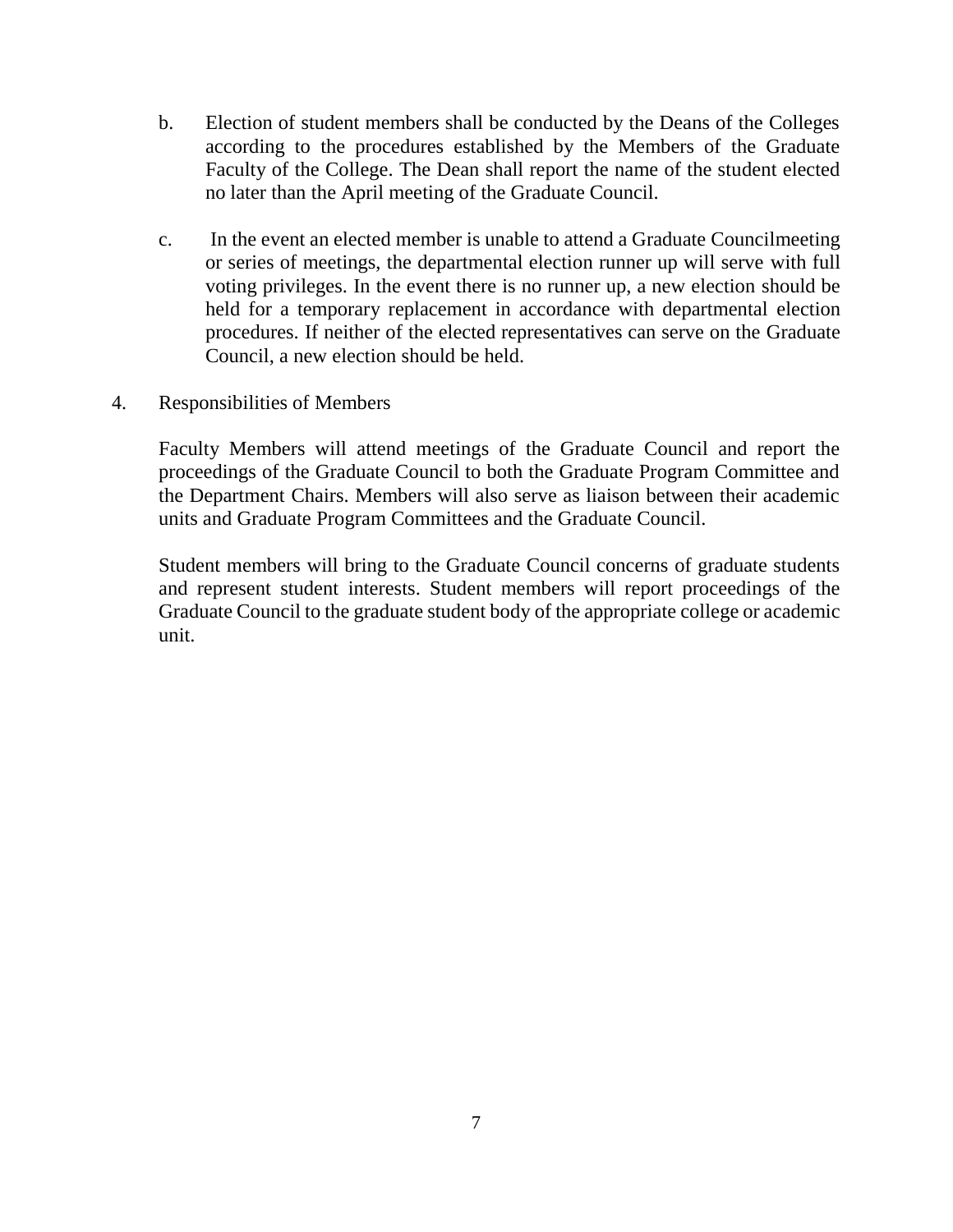- b. Election of student members shall be conducted by the Deans of the Colleges according to the procedures established by the Members of the Graduate Faculty of the College. The Dean shall report the name of the student elected no later than the April meeting of the Graduate Council.
- c. In the event an elected member is unable to attend a Graduate Councilmeeting or series of meetings, the departmental election runner up will serve with full voting privileges. In the event there is no runner up, a new election should be held for a temporary replacement in accordance with departmental election procedures. If neither of the elected representatives can serve on the Graduate Council, a new election should be held.
- 4. Responsibilities of Members

Faculty Members will attend meetings of the Graduate Council and report the proceedings of the Graduate Council to both the Graduate Program Committee and the Department Chairs. Members will also serve as liaison between their academic units and Graduate Program Committees and the Graduate Council.

Student members will bring to the Graduate Council concerns of graduate students and represent student interests. Student members will report proceedings of the Graduate Council to the graduate student body of the appropriate college or academic unit.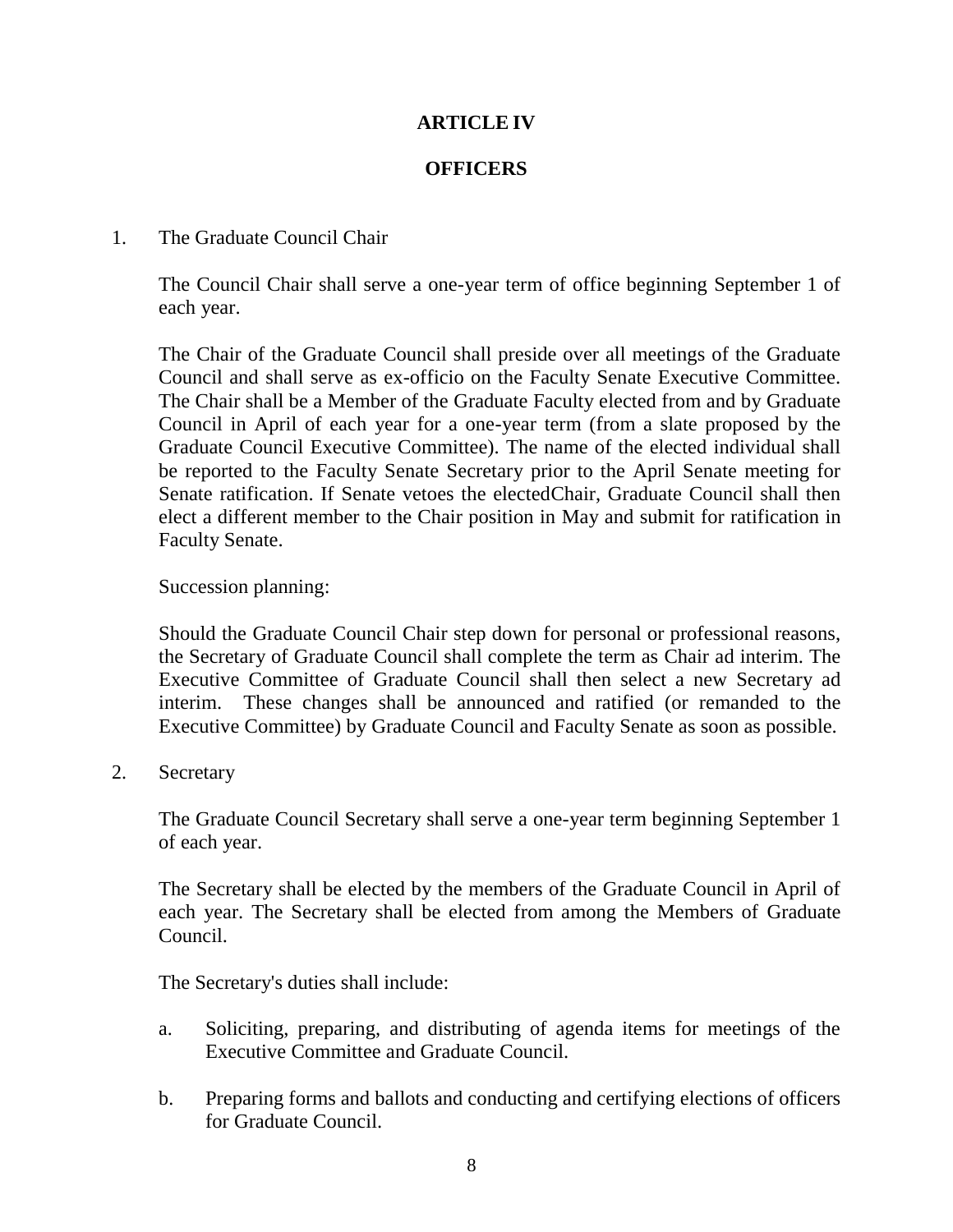## **ARTICLE IV**

### **OFFICERS**

#### 1. The Graduate Council Chair

The Council Chair shall serve a one-year term of office beginning September 1 of each year.

The Chair of the Graduate Council shall preside over all meetings of the Graduate Council and shall serve as ex-officio on the Faculty Senate Executive Committee. The Chair shall be a Member of the Graduate Faculty elected from and by Graduate Council in April of each year for a one-year term (from a slate proposed by the Graduate Council Executive Committee). The name of the elected individual shall be reported to the Faculty Senate Secretary prior to the April Senate meeting for Senate ratification. If Senate vetoes the electedChair, Graduate Council shall then elect a different member to the Chair position in May and submit for ratification in Faculty Senate.

#### Succession planning:

Should the Graduate Council Chair step down for personal or professional reasons, the Secretary of Graduate Council shall complete the term as Chair ad interim. The Executive Committee of Graduate Council shall then select a new Secretary ad interim. These changes shall be announced and ratified (or remanded to the Executive Committee) by Graduate Council and Faculty Senate as soon as possible.

2. Secretary

The Graduate Council Secretary shall serve a one-year term beginning September 1 of each year.

The Secretary shall be elected by the members of the Graduate Council in April of each year. The Secretary shall be elected from among the Members of Graduate Council.

The Secretary's duties shall include:

- a. Soliciting, preparing, and distributing of agenda items for meetings of the Executive Committee and Graduate Council.
- b. Preparing forms and ballots and conducting and certifying elections of officers for Graduate Council.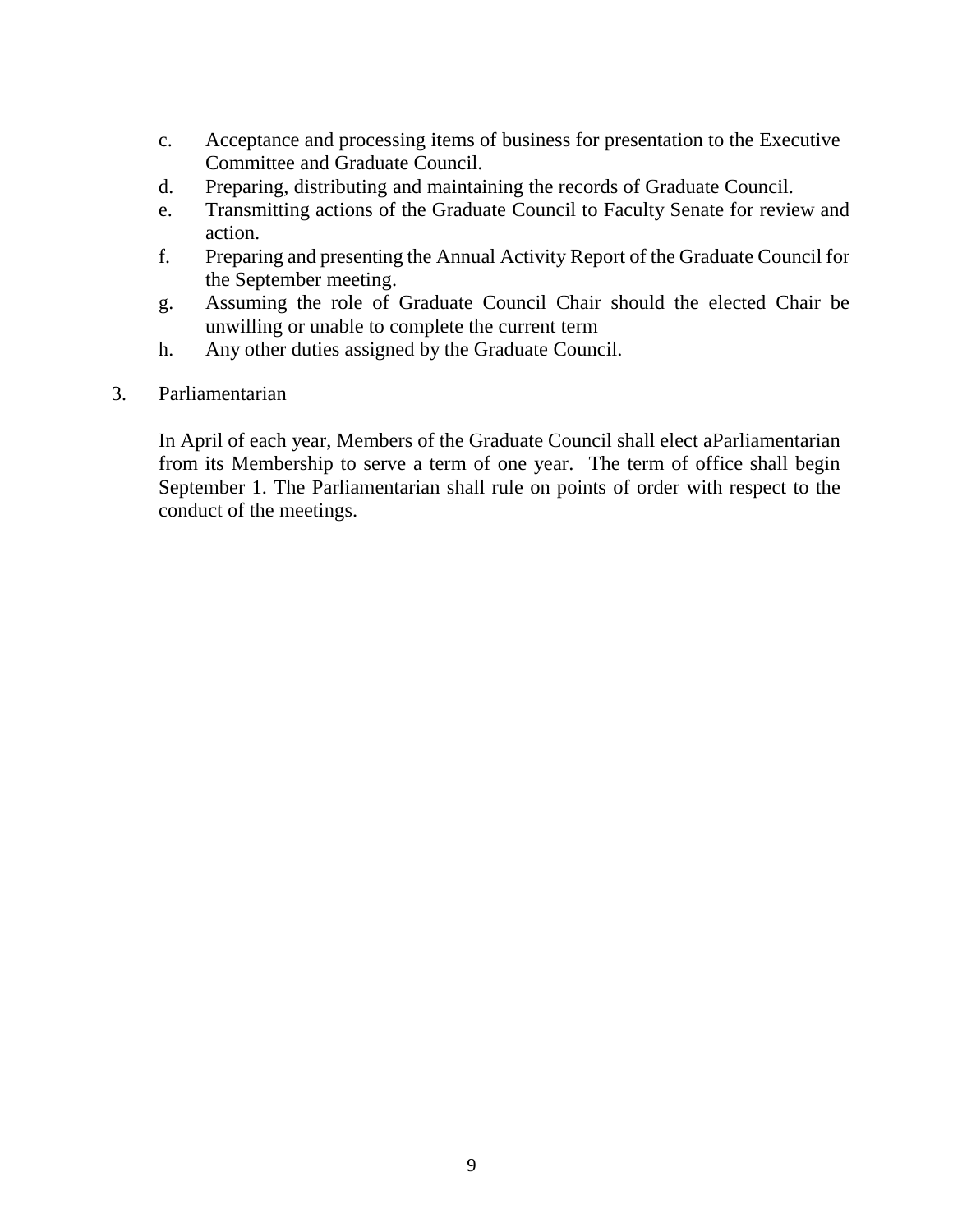- c. Acceptance and processing items of business for presentation to the Executive Committee and Graduate Council.
- d. Preparing, distributing and maintaining the records of Graduate Council.
- e. Transmitting actions of the Graduate Council to Faculty Senate for review and action.
- f. Preparing and presenting the Annual Activity Report of the Graduate Council for the September meeting.
- g. Assuming the role of Graduate Council Chair should the elected Chair be unwilling or unable to complete the current term
- h. Any other duties assigned by the Graduate Council.
- 3. Parliamentarian

In April of each year, Members of the Graduate Council shall elect aParliamentarian from its Membership to serve a term of one year. The term of office shall begin September 1. The Parliamentarian shall rule on points of order with respect to the conduct of the meetings.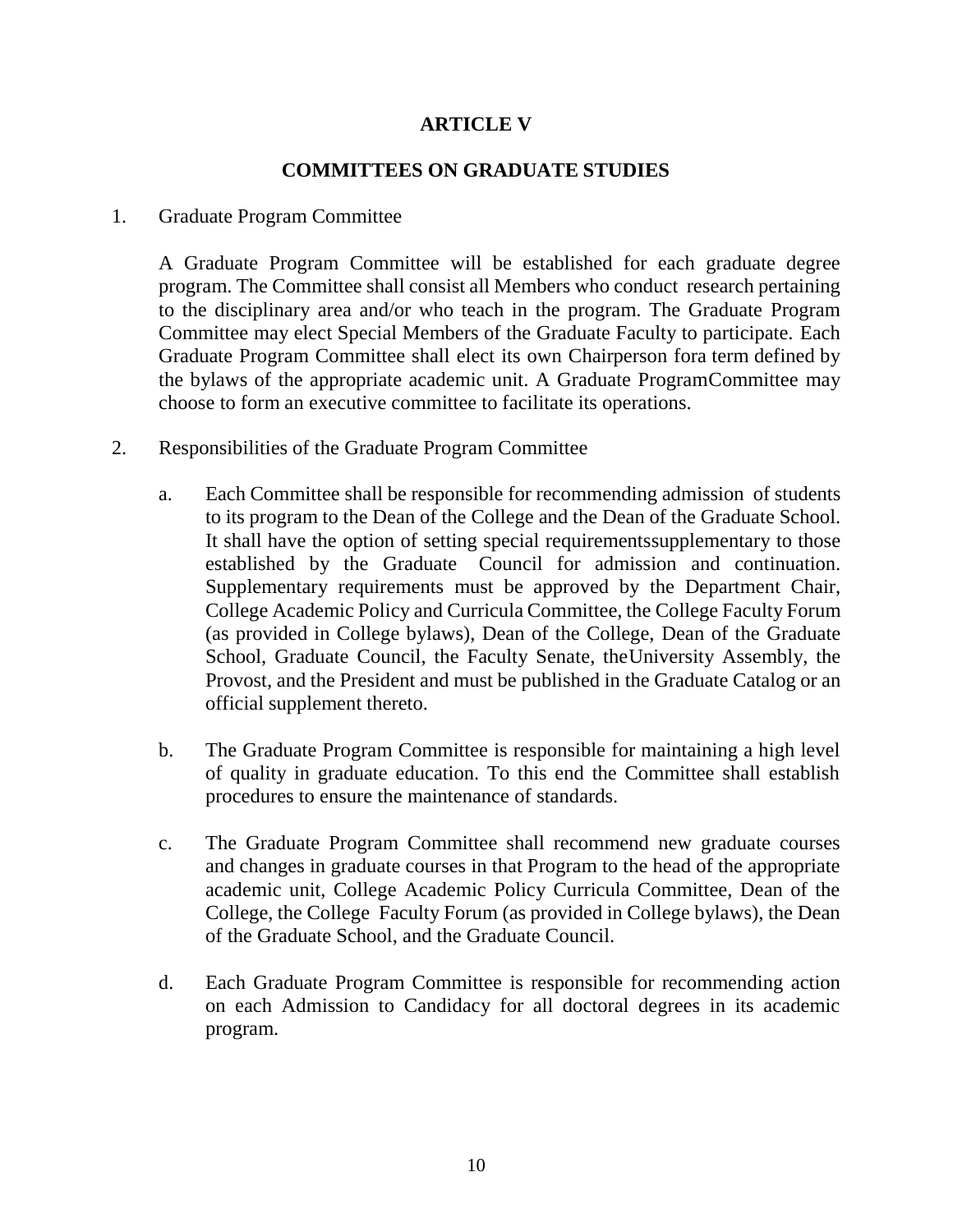# **ARTICLE V**

### **COMMITTEES ON GRADUATE STUDIES**

#### 1. Graduate Program Committee

A Graduate Program Committee will be established for each graduate degree program. The Committee shall consist all Members who conduct research pertaining to the disciplinary area and/or who teach in the program. The Graduate Program Committee may elect Special Members of the Graduate Faculty to participate. Each Graduate Program Committee shall elect its own Chairperson fora term defined by the bylaws of the appropriate academic unit. A Graduate ProgramCommittee may choose to form an executive committee to facilitate its operations.

- 2. Responsibilities of the Graduate Program Committee
	- a. Each Committee shall be responsible for recommending admission of students to its program to the Dean of the College and the Dean of the Graduate School. It shall have the option of setting special requirementssupplementary to those established by the Graduate Council for admission and continuation. Supplementary requirements must be approved by the Department Chair, College Academic Policy and Curricula Committee, the College Faculty Forum (as provided in College bylaws), Dean of the College, Dean of the Graduate School, Graduate Council, the Faculty Senate, theUniversity Assembly, the Provost, and the President and must be published in the Graduate Catalog or an official supplement thereto.
	- b. The Graduate Program Committee is responsible for maintaining a high level of quality in graduate education. To this end the Committee shall establish procedures to ensure the maintenance of standards.
	- c. The Graduate Program Committee shall recommend new graduate courses and changes in graduate courses in that Program to the head of the appropriate academic unit, College Academic Policy Curricula Committee, Dean of the College, the College Faculty Forum (as provided in College bylaws), the Dean of the Graduate School, and the Graduate Council.
	- d. Each Graduate Program Committee is responsible for recommending action on each Admission to Candidacy for all doctoral degrees in its academic program.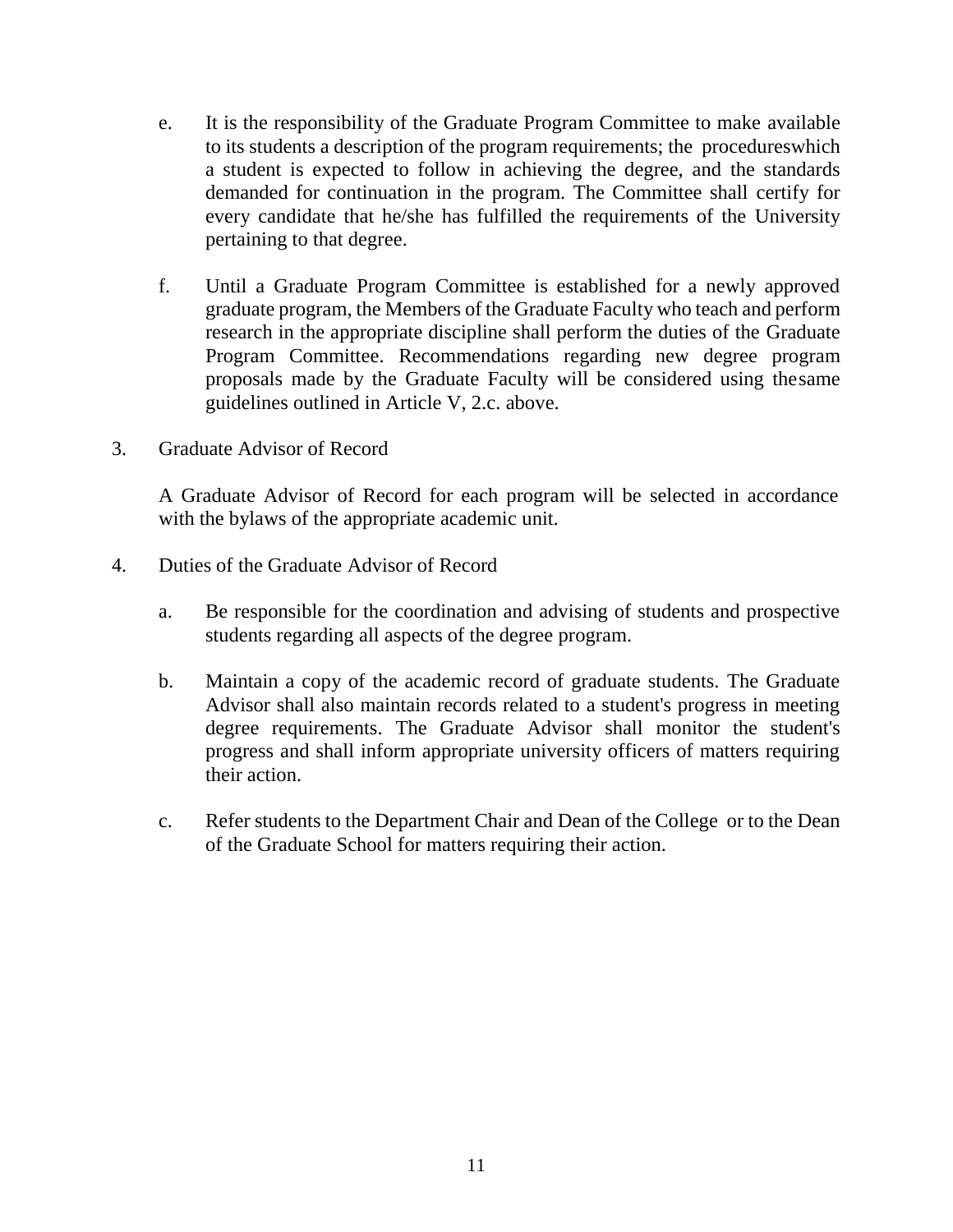- e. It is the responsibility of the Graduate Program Committee to make available to its students a description of the program requirements; the procedureswhich a student is expected to follow in achieving the degree, and the standards demanded for continuation in the program. The Committee shall certify for every candidate that he/she has fulfilled the requirements of the University pertaining to that degree.
- f. Until a Graduate Program Committee is established for a newly approved graduate program, the Members of the Graduate Faculty who teach and perform research in the appropriate discipline shall perform the duties of the Graduate Program Committee. Recommendations regarding new degree program proposals made by the Graduate Faculty will be considered using thesame guidelines outlined in Article V, 2.c. above.
- 3. Graduate Advisor of Record

A Graduate Advisor of Record for each program will be selected in accordance with the bylaws of the appropriate academic unit.

- 4. Duties of the Graduate Advisor of Record
	- a. Be responsible for the coordination and advising of students and prospective students regarding all aspects of the degree program.
	- b. Maintain a copy of the academic record of graduate students. The Graduate Advisor shall also maintain records related to a student's progress in meeting degree requirements. The Graduate Advisor shall monitor the student's progress and shall inform appropriate university officers of matters requiring their action.
	- c. Refer students to the Department Chair and Dean of the College or to the Dean of the Graduate School for matters requiring their action.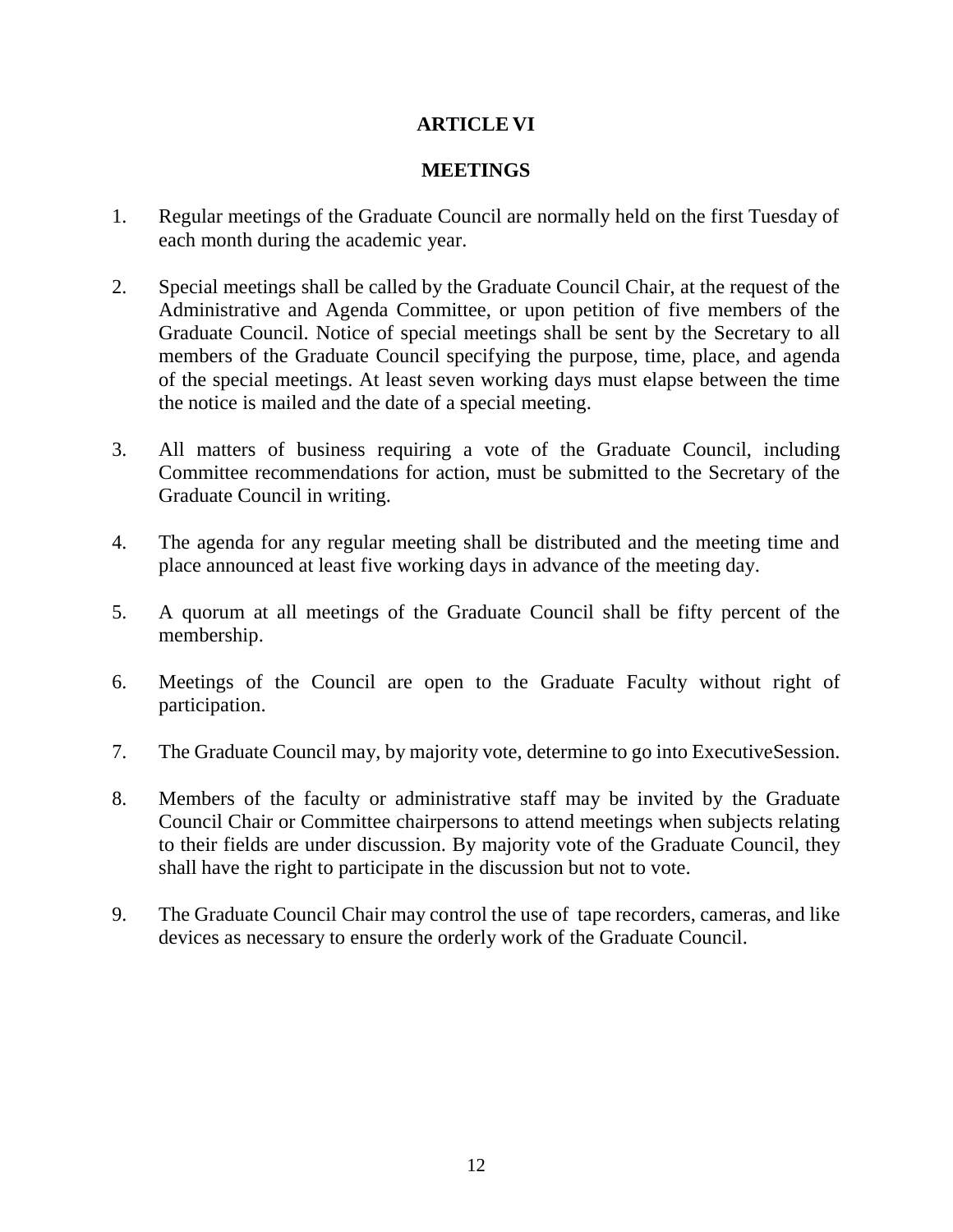# **ARTICLE VI**

## **MEETINGS**

- 1. Regular meetings of the Graduate Council are normally held on the first Tuesday of each month during the academic year.
- 2. Special meetings shall be called by the Graduate Council Chair, at the request of the Administrative and Agenda Committee, or upon petition of five members of the Graduate Council. Notice of special meetings shall be sent by the Secretary to all members of the Graduate Council specifying the purpose, time, place, and agenda of the special meetings. At least seven working days must elapse between the time the notice is mailed and the date of a special meeting.
- 3. All matters of business requiring a vote of the Graduate Council, including Committee recommendations for action, must be submitted to the Secretary of the Graduate Council in writing.
- 4. The agenda for any regular meeting shall be distributed and the meeting time and place announced at least five working days in advance of the meeting day.
- 5. A quorum at all meetings of the Graduate Council shall be fifty percent of the membership.
- 6. Meetings of the Council are open to the Graduate Faculty without right of participation.
- 7. The Graduate Council may, by majority vote, determine to go into ExecutiveSession.
- 8. Members of the faculty or administrative staff may be invited by the Graduate Council Chair or Committee chairpersons to attend meetings when subjects relating to their fields are under discussion. By majority vote of the Graduate Council, they shall have the right to participate in the discussion but not to vote.
- 9. The Graduate Council Chair may control the use of tape recorders, cameras, and like devices as necessary to ensure the orderly work of the Graduate Council.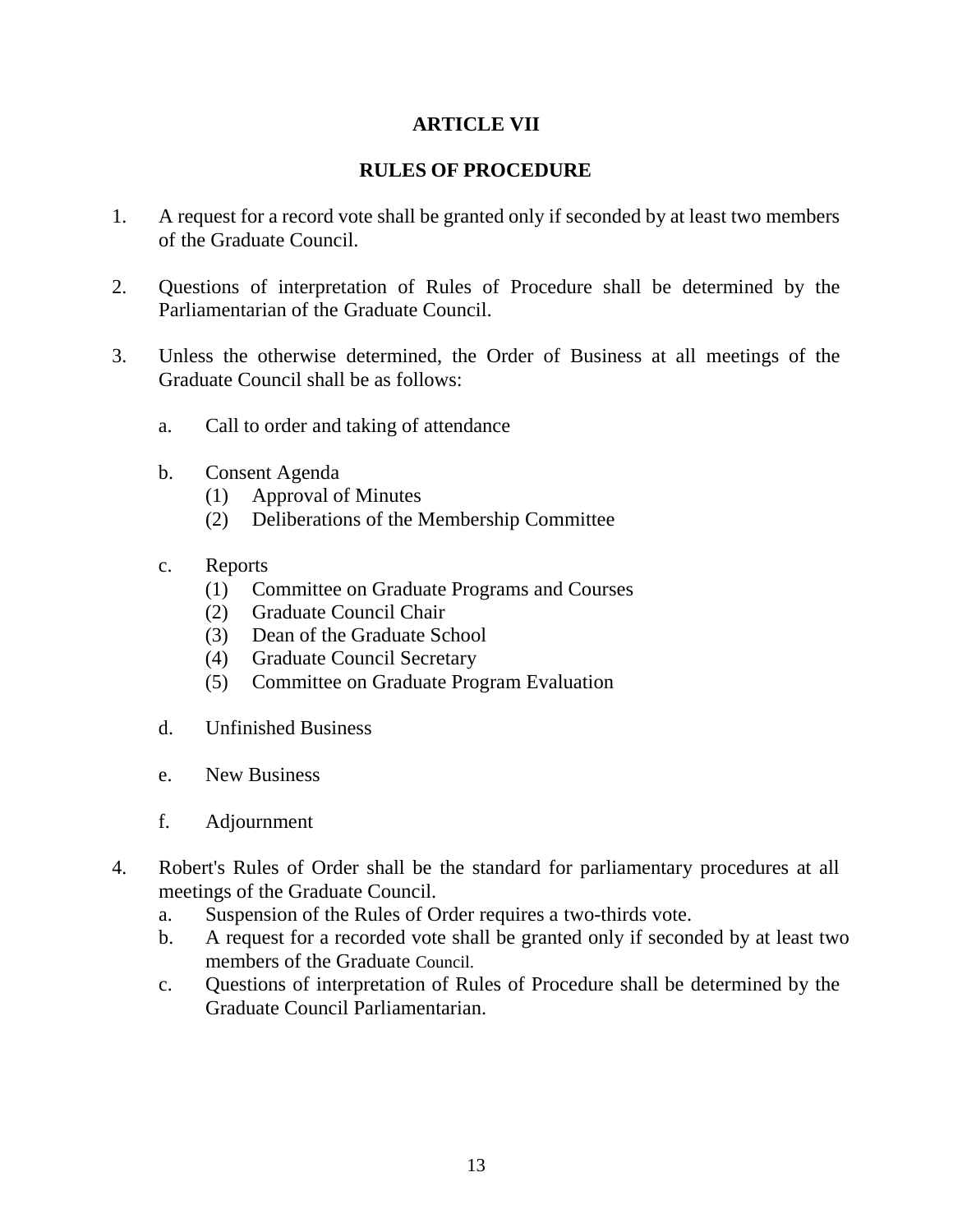## **ARTICLE VII**

## **RULES OF PROCEDURE**

- 1. A request for a record vote shall be granted only if seconded by at least two members of the Graduate Council.
- 2. Questions of interpretation of Rules of Procedure shall be determined by the Parliamentarian of the Graduate Council.
- 3. Unless the otherwise determined, the Order of Business at all meetings of the Graduate Council shall be as follows:
	- a. Call to order and taking of attendance
	- b. Consent Agenda
		- (1) Approval of Minutes
		- (2) Deliberations of the Membership Committee
	- c. Reports
		- (1) Committee on Graduate Programs and Courses
		- (2) Graduate Council Chair
		- (3) Dean of the Graduate School
		- (4) Graduate Council Secretary
		- (5) Committee on Graduate Program Evaluation
	- d. Unfinished Business
	- e. New Business
	- f. Adjournment
- 4. Robert's Rules of Order shall be the standard for parliamentary procedures at all meetings of the Graduate Council.
	- a. Suspension of the Rules of Order requires a two-thirds vote.
	- b. A request for a recorded vote shall be granted only if seconded by at least two members of the Graduate Council.
	- c. Questions of interpretation of Rules of Procedure shall be determined by the Graduate Council Parliamentarian.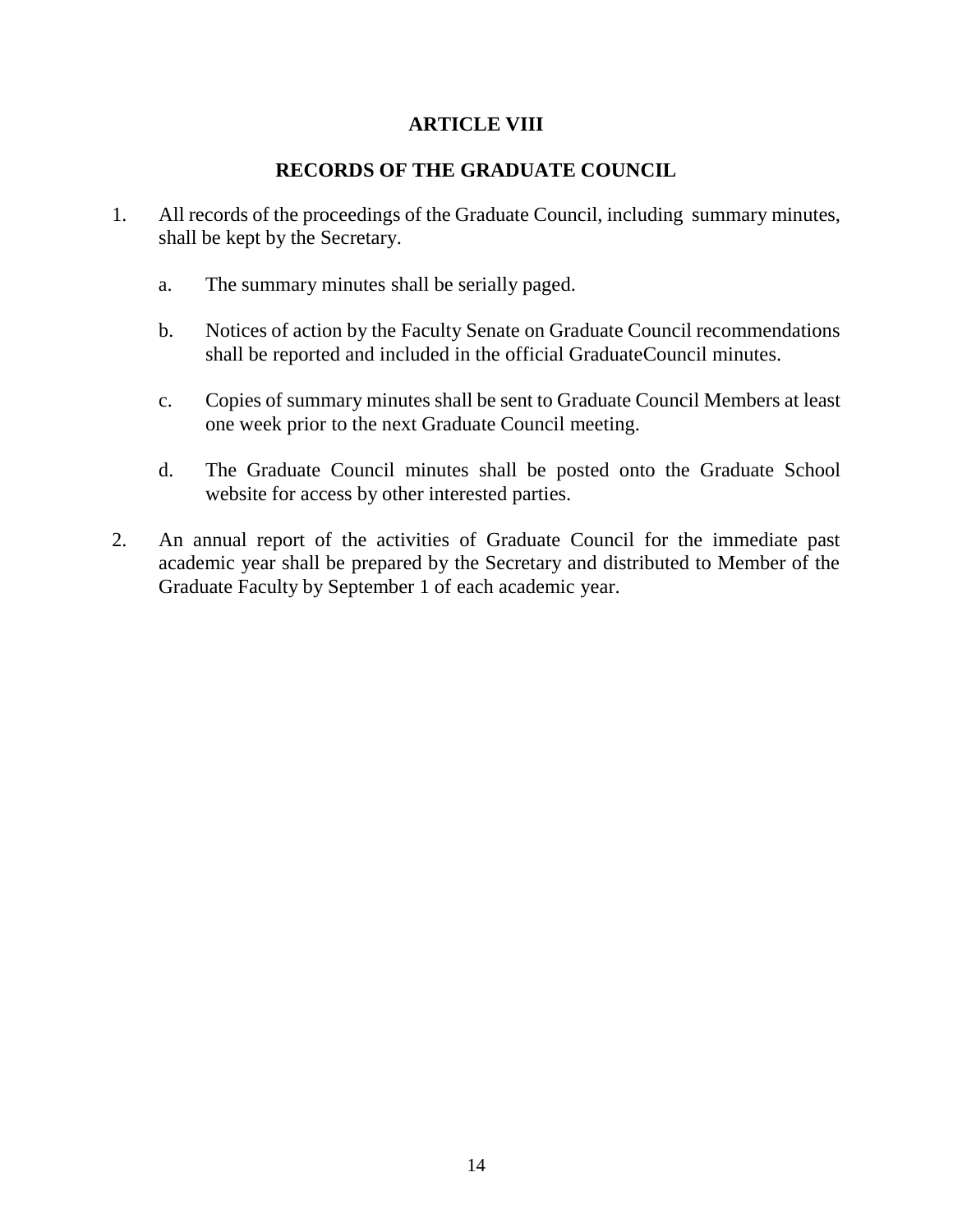## **ARTICLE VIII**

## **RECORDS OF THE GRADUATE COUNCIL**

- 1. All records of the proceedings of the Graduate Council, including summary minutes, shall be kept by the Secretary.
	- a. The summary minutes shall be serially paged.
	- b. Notices of action by the Faculty Senate on Graduate Council recommendations shall be reported and included in the official GraduateCouncil minutes.
	- c. Copies of summary minutes shall be sent to Graduate Council Members at least one week prior to the next Graduate Council meeting.
	- d. The Graduate Council minutes shall be posted onto the Graduate School website for access by other interested parties.
- 2. An annual report of the activities of Graduate Council for the immediate past academic year shall be prepared by the Secretary and distributed to Member of the Graduate Faculty by September 1 of each academic year.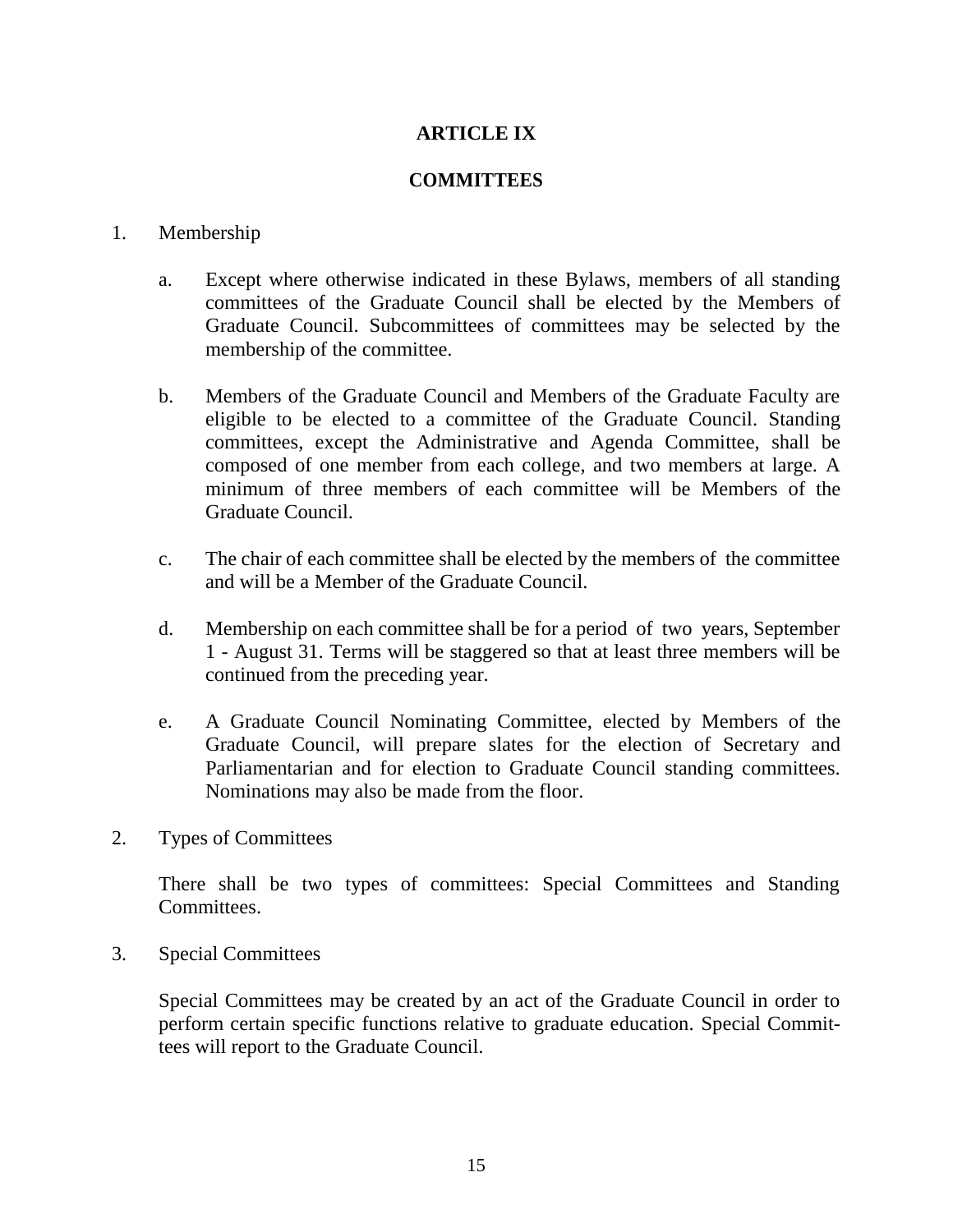## **ARTICLE IX**

## **COMMITTEES**

#### 1. Membership

- a. Except where otherwise indicated in these Bylaws, members of all standing committees of the Graduate Council shall be elected by the Members of Graduate Council. Subcommittees of committees may be selected by the membership of the committee.
- b. Members of the Graduate Council and Members of the Graduate Faculty are eligible to be elected to a committee of the Graduate Council. Standing committees, except the Administrative and Agenda Committee, shall be composed of one member from each college, and two members at large. A minimum of three members of each committee will be Members of the Graduate Council.
- c. The chair of each committee shall be elected by the members of the committee and will be a Member of the Graduate Council.
- d. Membership on each committee shall be for a period of two years, September 1 - August 31. Terms will be staggered so that at least three members will be continued from the preceding year.
- e. A Graduate Council Nominating Committee, elected by Members of the Graduate Council, will prepare slates for the election of Secretary and Parliamentarian and for election to Graduate Council standing committees. Nominations may also be made from the floor.
- 2. Types of Committees

There shall be two types of committees: Special Committees and Standing Committees.

3. Special Committees

Special Committees may be created by an act of the Graduate Council in order to perform certain specific functions relative to graduate education. Special Committees will report to the Graduate Council.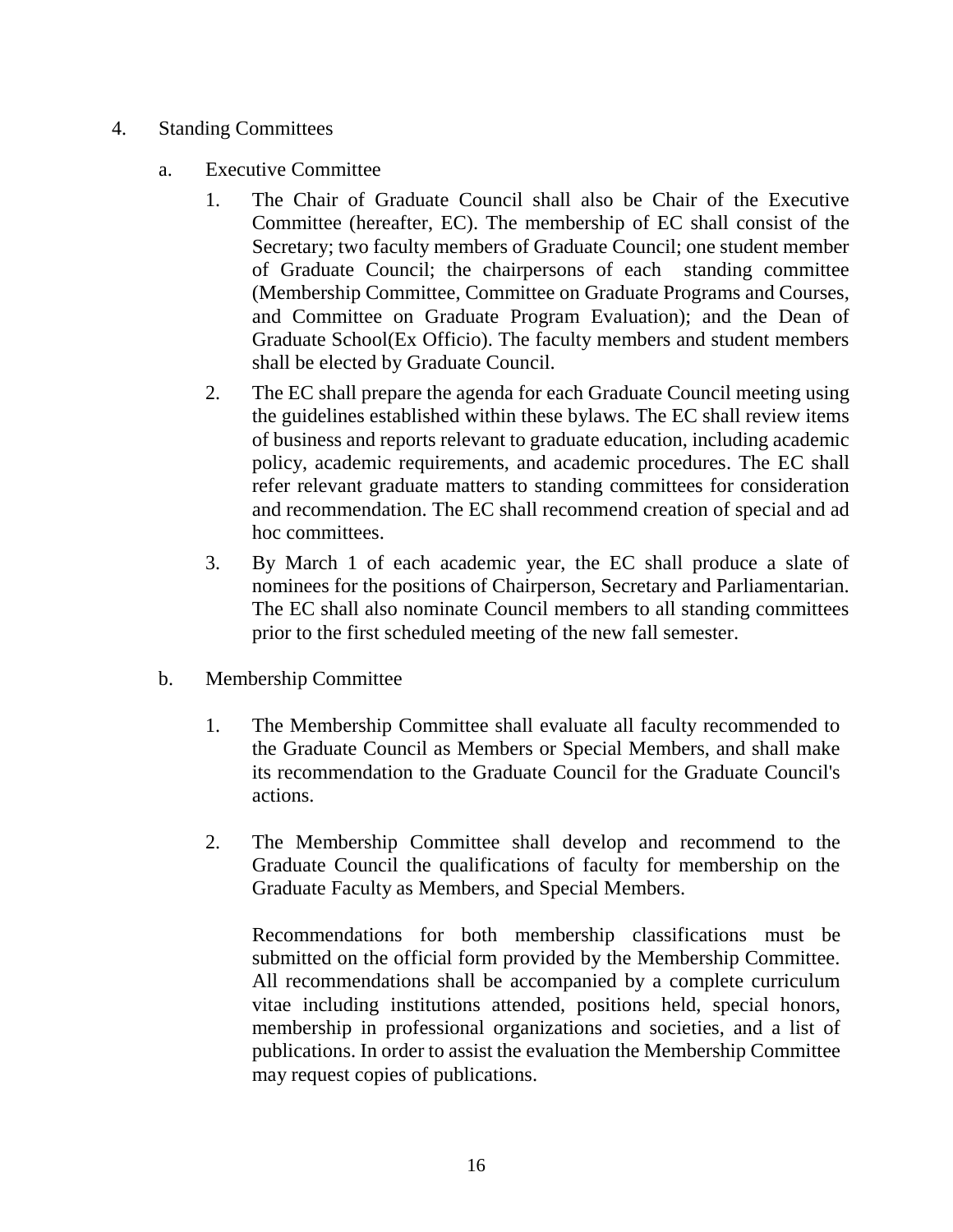- 4. Standing Committees
	- a. Executive Committee
		- 1. The Chair of Graduate Council shall also be Chair of the Executive Committee (hereafter, EC). The membership of EC shall consist of the Secretary; two faculty members of Graduate Council; one student member of Graduate Council; the chairpersons of each standing committee (Membership Committee, Committee on Graduate Programs and Courses, and Committee on Graduate Program Evaluation); and the Dean of Graduate School(Ex Officio). The faculty members and student members shall be elected by Graduate Council.
		- 2. The EC shall prepare the agenda for each Graduate Council meeting using the guidelines established within these bylaws. The EC shall review items of business and reports relevant to graduate education, including academic policy, academic requirements, and academic procedures. The EC shall refer relevant graduate matters to standing committees for consideration and recommendation. The EC shall recommend creation of special and ad hoc committees.
		- 3. By March 1 of each academic year, the EC shall produce a slate of nominees for the positions of Chairperson, Secretary and Parliamentarian. The EC shall also nominate Council members to all standing committees prior to the first scheduled meeting of the new fall semester.
	- b. Membership Committee
		- 1. The Membership Committee shall evaluate all faculty recommended to the Graduate Council as Members or Special Members, and shall make its recommendation to the Graduate Council for the Graduate Council's actions.
		- 2. The Membership Committee shall develop and recommend to the Graduate Council the qualifications of faculty for membership on the Graduate Faculty as Members, and Special Members.

Recommendations for both membership classifications must be submitted on the official form provided by the Membership Committee. All recommendations shall be accompanied by a complete curriculum vitae including institutions attended, positions held, special honors, membership in professional organizations and societies, and a list of publications. In order to assist the evaluation the Membership Committee may request copies of publications.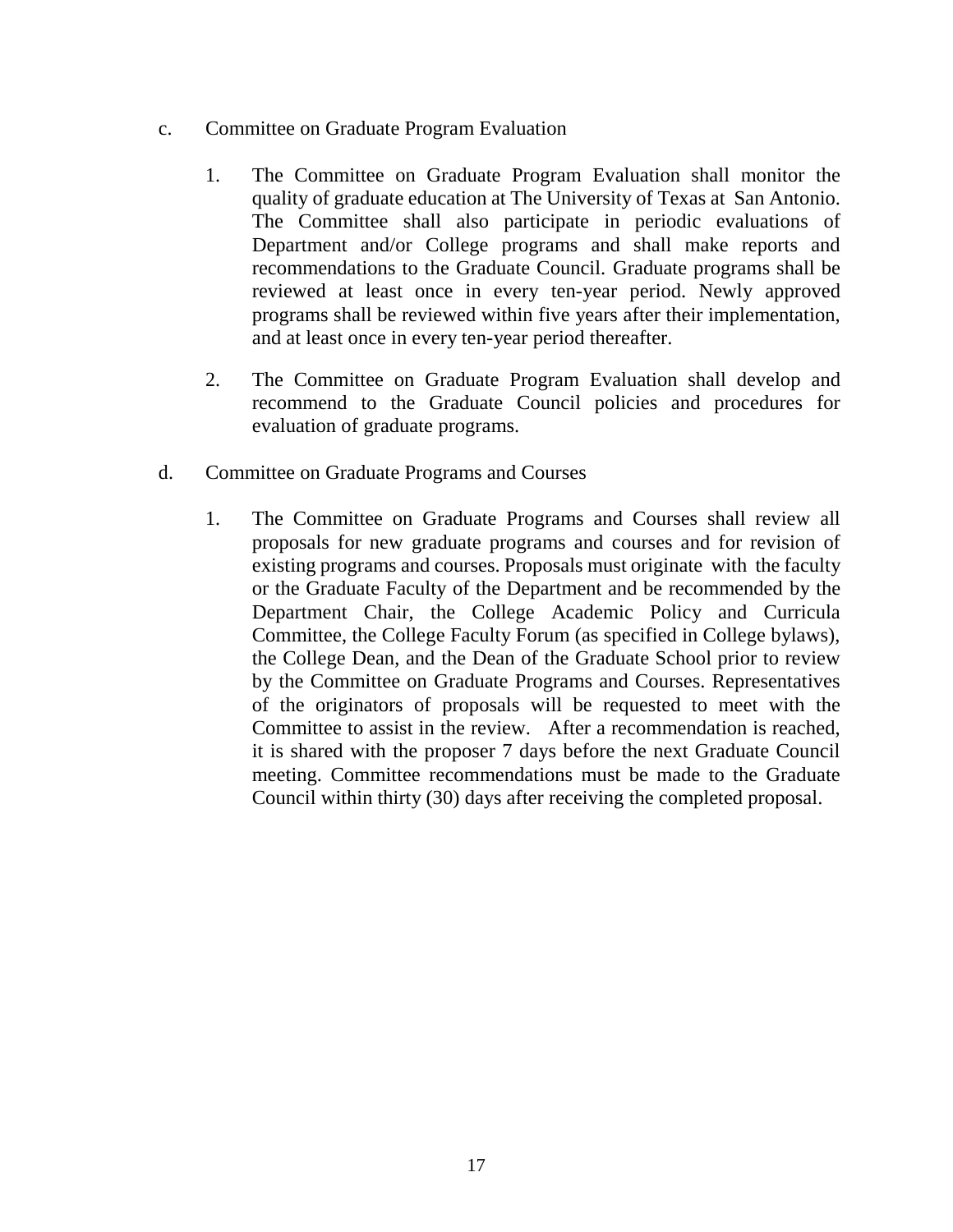- c. Committee on Graduate Program Evaluation
	- 1. The Committee on Graduate Program Evaluation shall monitor the quality of graduate education at The University of Texas at San Antonio. The Committee shall also participate in periodic evaluations of Department and/or College programs and shall make reports and recommendations to the Graduate Council. Graduate programs shall be reviewed at least once in every ten-year period. Newly approved programs shall be reviewed within five years after their implementation, and at least once in every ten-year period thereafter.
	- 2. The Committee on Graduate Program Evaluation shall develop and recommend to the Graduate Council policies and procedures for evaluation of graduate programs.
- d. Committee on Graduate Programs and Courses
	- 1. The Committee on Graduate Programs and Courses shall review all proposals for new graduate programs and courses and for revision of existing programs and courses. Proposals must originate with the faculty or the Graduate Faculty of the Department and be recommended by the Department Chair, the College Academic Policy and Curricula Committee, the College Faculty Forum (as specified in College bylaws), the College Dean, and the Dean of the Graduate School prior to review by the Committee on Graduate Programs and Courses. Representatives of the originators of proposals will be requested to meet with the Committee to assist in the review. After a recommendation is reached, it is shared with the proposer 7 days before the next Graduate Council meeting. Committee recommendations must be made to the Graduate Council within thirty (30) days after receiving the completed proposal.